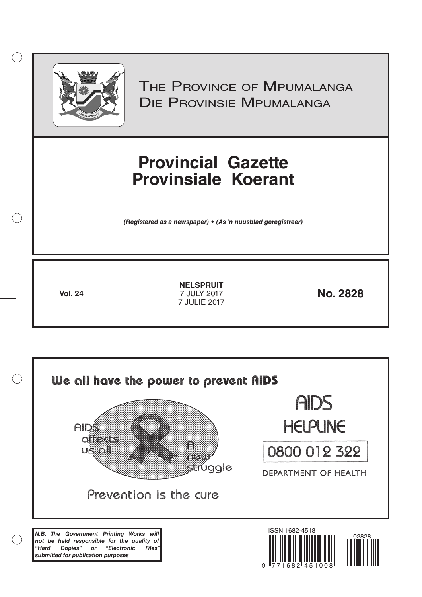

 $\bigcirc$ 

THE PROVINCE OF MPUMALANGA Die Provinsie Mpumalanga

# **Provincial Gazette Provinsiale Koerant**

*(Registered as a newspaper) • (As 'n nuusblad geregistreer)*

**Vol. 24 No. 2828 NELSPRUIT** 7 JULY 2017 7 JULIE 2017

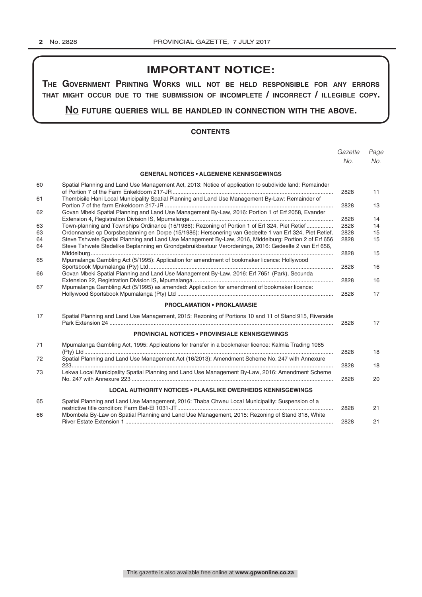# **IMPORTANT NOTICE:**

**The GovernmenT PrinTinG Works Will noT be held resPonsible for any errors ThaT miGhT occur due To The submission of incomPleTe / incorrecT / illeGible coPy.**

**no fuTure queries Will be handled in connecTion WiTh The above.**

# **CONTENTS**

|                |                                                                                                                                                                                                                                                                                                                           | Gazette<br>No. | Page<br>No. |
|----------------|---------------------------------------------------------------------------------------------------------------------------------------------------------------------------------------------------------------------------------------------------------------------------------------------------------------------------|----------------|-------------|
|                | <b>GENERAL NOTICES • ALGEMENE KENNISGEWINGS</b>                                                                                                                                                                                                                                                                           |                |             |
| 60             | Spatial Planning and Land Use Management Act, 2013: Notice of application to subdivide land: Remainder                                                                                                                                                                                                                    | 2828           | 11          |
| 61             | Thembisile Hani Local Municipality Spatial Planning and Land Use Management By-Law: Remainder of                                                                                                                                                                                                                          | 2828           | 13          |
| 62             | Govan Mbeki Spatial Planning and Land Use Management By-Law, 2016: Portion 1 of Erf 2058, Evander                                                                                                                                                                                                                         | 2828           | 14          |
| 63             | Town-planning and Townships Ordinance (15/1986): Rezoning of Portion 1 of Erf 324, Piet Retief                                                                                                                                                                                                                            | 2828           | 14          |
| 63<br>64<br>64 | Ordonnansie op Dorpsbeplanning en Dorpe (15/1986): Hersonering van Gedeelte 1 van Erf 324, Piet Retief.<br>Steve Tshwete Spatial Planning and Land Use Management By-Law, 2016, Middelburg: Portion 2 of Erf 656<br>Steve Tshwete Stedelike Beplanning en Grondgebruikbestuur Verordeninge, 2016: Gedeelte 2 van Erf 656, | 2828<br>2828   | 15<br>15    |
| 65             | Mpumalanga Gambling Act (5/1995): Application for amendment of bookmaker licence: Hollywood                                                                                                                                                                                                                               | 2828           | 15          |
|                |                                                                                                                                                                                                                                                                                                                           | 2828           | 16          |
| 66             | Govan Mbeki Spatial Planning and Land Use Management By-Law, 2016: Erf 7651 (Park), Secunda                                                                                                                                                                                                                               | 2828           | 16          |
| 67             | Mpumalanga Gambling Act (5/1995) as amended: Application for amendment of bookmaker licence:                                                                                                                                                                                                                              | 2828           | 17          |
|                | <b>PROCLAMATION . PROKLAMASIE</b>                                                                                                                                                                                                                                                                                         |                |             |
| 17             | Spatial Planning and Land Use Management, 2015: Rezoning of Portions 10 and 11 of Stand 915, Riverside                                                                                                                                                                                                                    | 2828           | 17          |
|                | <b>PROVINCIAL NOTICES • PROVINSIALE KENNISGEWINGS</b>                                                                                                                                                                                                                                                                     |                |             |
| 71             | Mpumalanga Gambling Act, 1995: Applications for transfer in a bookmaker licence: Kalmia Trading 1085                                                                                                                                                                                                                      | 2828           | 18          |
| 72             | Spatial Planning and Land Use Management Act (16/2013): Amendment Scheme No. 247 with Annexure                                                                                                                                                                                                                            | 2828           | 18          |
| 73             | Lekwa Local Municipality Spatial Planning and Land Use Management By-Law, 2016: Amendment Scheme                                                                                                                                                                                                                          | 2828           | 20          |
|                | <b>LOCAL AUTHORITY NOTICES • PLAASLIKE OWERHEIDS KENNISGEWINGS</b>                                                                                                                                                                                                                                                        |                |             |
| 65             | Spatial Planning and Land Use Management, 2016: Thaba Chweu Local Municipality: Suspension of a                                                                                                                                                                                                                           | 2828           | 21          |
| 66             | Mbombela By-Law on Spatial Planning and Land Use Management, 2015: Rezoning of Stand 318, White                                                                                                                                                                                                                           | 2828           | 21          |
|                |                                                                                                                                                                                                                                                                                                                           |                |             |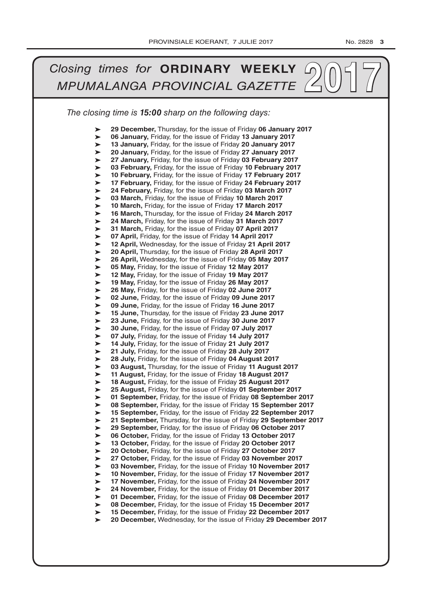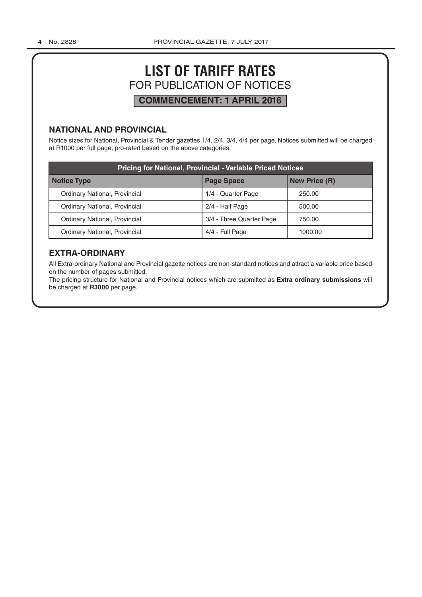# **LIST OF TARIFF RATES** FOR PUBLICATION OF NOTICES **COMMENCEMENT: 1 APRIL 2016**

# **NATIONAL AND PROVINCIAL**

Notice sizes for National, Provincial & Tender gazettes 1/4, 2/4, 3/4, 4/4 per page. Notices submitted will be charged at R1000 per full page, pro-rated based on the above categories.

| <b>Pricing for National, Provincial - Variable Priced Notices</b> |                          |                      |  |
|-------------------------------------------------------------------|--------------------------|----------------------|--|
| <b>Notice Type</b>                                                | <b>Page Space</b>        | <b>New Price (R)</b> |  |
| Ordinary National, Provincial                                     | 1/4 - Quarter Page       | 250.00               |  |
| Ordinary National, Provincial                                     | 2/4 - Half Page          | 500.00               |  |
| Ordinary National, Provincial                                     | 3/4 - Three Quarter Page | 750.00               |  |
| Ordinary National, Provincial                                     | 4/4 - Full Page          | 1000.00              |  |

# **EXTRA-ORDINARY**

All Extra-ordinary National and Provincial gazette notices are non-standard notices and attract a variable price based on the number of pages submitted.

The pricing structure for National and Provincial notices which are submitted as **Extra ordinary submissions** will be charged at **R3000** per page.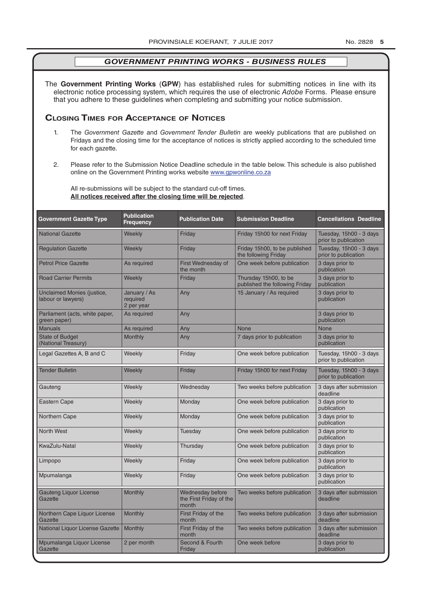The **Government Printing Works** (**GPW**) has established rules for submitting notices in line with its electronic notice processing system, which requires the use of electronic *Adobe* Forms. Please ensure that you adhere to these guidelines when completing and submitting your notice submission.

# **Closing Times for ACCepTAnCe of noTiCes**

- 1. The *Government Gazette* and *Government Tender Bulletin* are weekly publications that are published on Fridays and the closing time for the acceptance of notices is strictly applied according to the scheduled time for each gazette.
- 2. Please refer to the Submission Notice Deadline schedule in the table below. This schedule is also published online on the Government Printing works website www.gpwonline.co.za

All re-submissions will be subject to the standard cut-off times. **All notices received after the closing time will be rejected**.

| <b>Government Gazette Type</b>                   | <b>Publication</b><br><b>Frequency</b> | <b>Publication Date</b>                              | <b>Submission Deadline</b>                              | <b>Cancellations Deadline</b>                   |
|--------------------------------------------------|----------------------------------------|------------------------------------------------------|---------------------------------------------------------|-------------------------------------------------|
| <b>National Gazette</b>                          | Weekly                                 | Friday                                               | Friday 15h00 for next Friday                            | Tuesday, 15h00 - 3 days<br>prior to publication |
| <b>Regulation Gazette</b>                        | Weekly                                 | Friday                                               | Friday 15h00, to be published<br>the following Friday   | Tuesday, 15h00 - 3 days<br>prior to publication |
| <b>Petrol Price Gazette</b>                      | As required                            | First Wednesday of<br>the month                      | One week before publication                             | 3 days prior to<br>publication                  |
| <b>Road Carrier Permits</b>                      | Weekly                                 | Friday                                               | Thursday 15h00, to be<br>published the following Friday | 3 days prior to<br>publication                  |
| Unclaimed Monies (justice,<br>labour or lawyers) | January / As<br>required<br>2 per year | Any                                                  | 15 January / As required                                | 3 days prior to<br>publication                  |
| Parliament (acts, white paper,<br>green paper)   | As required                            | Any                                                  |                                                         | 3 days prior to<br>publication                  |
| <b>Manuals</b>                                   | As required                            | Any                                                  | None                                                    | <b>None</b>                                     |
| <b>State of Budget</b><br>(National Treasury)    | <b>Monthly</b>                         | Any                                                  | 7 days prior to publication                             | 3 days prior to<br>publication                  |
| Legal Gazettes A, B and C                        | Weekly                                 | Friday                                               | One week before publication                             | Tuesday, 15h00 - 3 days<br>prior to publication |
| <b>Tender Bulletin</b>                           | Weekly                                 | Friday                                               | Friday 15h00 for next Friday                            | Tuesday, 15h00 - 3 days<br>prior to publication |
| Gauteng                                          | Weekly                                 | Wednesday                                            | Two weeks before publication                            | 3 days after submission<br>deadline             |
| Eastern Cape                                     | Weekly                                 | Monday                                               | One week before publication                             | 3 days prior to<br>publication                  |
| Northern Cape                                    | Weekly                                 | Monday                                               | One week before publication                             | 3 days prior to<br>publication                  |
| <b>North West</b>                                | Weekly                                 | Tuesday                                              | One week before publication                             | 3 days prior to<br>publication                  |
| KwaZulu-Natal                                    | Weekly                                 | Thursday                                             | One week before publication                             | 3 days prior to<br>publication                  |
| Limpopo                                          | Weekly                                 | Friday                                               | One week before publication                             | 3 days prior to<br>publication                  |
| Mpumalanga                                       | Weekly                                 | Friday                                               | One week before publication                             | 3 days prior to<br>publication                  |
| <b>Gauteng Liquor License</b><br>Gazette         | Monthly                                | Wednesday before<br>the First Friday of the<br>month | Two weeks before publication                            | 3 days after submission<br>deadline             |
| Northern Cape Liquor License<br>Gazette          | Monthly                                | First Friday of the<br>month                         | Two weeks before publication                            | 3 days after submission<br>deadline             |
| National Liquor License Gazette                  | Monthly                                | First Friday of the<br>month                         | Two weeks before publication                            | 3 days after submission<br>deadline             |
| Mpumalanga Liquor License<br>Gazette             | 2 per month                            | Second & Fourth<br>Friday                            | One week before                                         | 3 days prior to<br>publication                  |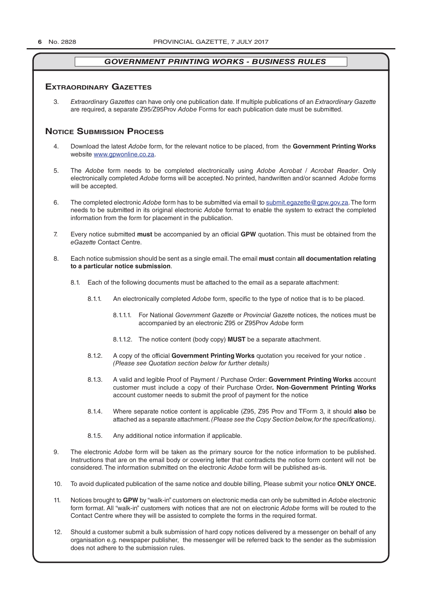# **exTrAordinAry gAzeTTes**

3. *Extraordinary Gazettes* can have only one publication date. If multiple publications of an *Extraordinary Gazette* are required, a separate Z95/Z95Prov *Adobe* Forms for each publication date must be submitted.

# **NOTICE SUBMISSION PROCESS**

- 4. Download the latest *Adobe* form, for the relevant notice to be placed, from the **Government Printing Works** website www.gpwonline.co.za.
- 5. The *Adobe* form needs to be completed electronically using *Adobe Acrobat* / *Acrobat Reader*. Only electronically completed *Adobe* forms will be accepted. No printed, handwritten and/or scanned *Adobe* forms will be accepted.
- 6. The completed electronic *Adobe* form has to be submitted via email to submit.egazette@gpw.gov.za. The form needs to be submitted in its original electronic *Adobe* format to enable the system to extract the completed information from the form for placement in the publication.
- 7. Every notice submitted **must** be accompanied by an official **GPW** quotation. This must be obtained from the *eGazette* Contact Centre.
- 8. Each notice submission should be sent as a single email. The email **must** contain **all documentation relating to a particular notice submission**.
	- 8.1. Each of the following documents must be attached to the email as a separate attachment:
		- 8.1.1. An electronically completed *Adobe* form, specific to the type of notice that is to be placed.
			- 8.1.1.1. For National *Government Gazette* or *Provincial Gazette* notices, the notices must be accompanied by an electronic Z95 or Z95Prov *Adobe* form
			- 8.1.1.2. The notice content (body copy) **MUST** be a separate attachment.
		- 8.1.2. A copy of the official **Government Printing Works** quotation you received for your notice . *(Please see Quotation section below for further details)*
		- 8.1.3. A valid and legible Proof of Payment / Purchase Order: **Government Printing Works** account customer must include a copy of their Purchase Order*.* **Non**-**Government Printing Works** account customer needs to submit the proof of payment for the notice
		- 8.1.4. Where separate notice content is applicable (Z95, Z95 Prov and TForm 3, it should **also** be attached as a separate attachment. *(Please see the Copy Section below, for the specifications)*.
		- 8.1.5. Any additional notice information if applicable.
- 9. The electronic *Adobe* form will be taken as the primary source for the notice information to be published. Instructions that are on the email body or covering letter that contradicts the notice form content will not be considered. The information submitted on the electronic *Adobe* form will be published as-is.
- 10. To avoid duplicated publication of the same notice and double billing, Please submit your notice **ONLY ONCE.**
- 11. Notices brought to **GPW** by "walk-in" customers on electronic media can only be submitted in *Adobe* electronic form format. All "walk-in" customers with notices that are not on electronic *Adobe* forms will be routed to the Contact Centre where they will be assisted to complete the forms in the required format.
- 12. Should a customer submit a bulk submission of hard copy notices delivered by a messenger on behalf of any organisation e.g. newspaper publisher, the messenger will be referred back to the sender as the submission does not adhere to the submission rules.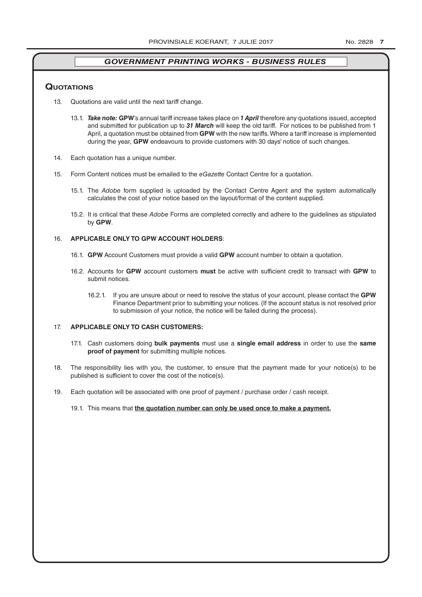# **QuoTATions**

- 13. Quotations are valid until the next tariff change.
	- 13.1. *Take note:* **GPW**'s annual tariff increase takes place on *1 April* therefore any quotations issued, accepted and submitted for publication up to *31 March* will keep the old tariff. For notices to be published from 1 April, a quotation must be obtained from **GPW** with the new tariffs. Where a tariff increase is implemented during the year, **GPW** endeavours to provide customers with 30 days' notice of such changes.
- 14. Each quotation has a unique number.
- 15. Form Content notices must be emailed to the *eGazette* Contact Centre for a quotation.
	- 15.1. The *Adobe* form supplied is uploaded by the Contact Centre Agent and the system automatically calculates the cost of your notice based on the layout/format of the content supplied.
	- 15.2. It is critical that these *Adobe* Forms are completed correctly and adhere to the guidelines as stipulated by **GPW**.

# 16. **APPLICABLE ONLY TO GPW ACCOUNT HOLDERS**:

- 16.1. **GPW** Account Customers must provide a valid **GPW** account number to obtain a quotation.
- 16.2. Accounts for **GPW** account customers **must** be active with sufficient credit to transact with **GPW** to submit notices.
	- 16.2.1. If you are unsure about or need to resolve the status of your account, please contact the **GPW** Finance Department prior to submitting your notices. (If the account status is not resolved prior to submission of your notice, the notice will be failed during the process).

### 17. **APPLICABLE ONLY TO CASH CUSTOMERS:**

- 17.1. Cash customers doing **bulk payments** must use a **single email address** in order to use the **same proof of payment** for submitting multiple notices.
- 18. The responsibility lies with you, the customer, to ensure that the payment made for your notice(s) to be published is sufficient to cover the cost of the notice(s).
- 19. Each quotation will be associated with one proof of payment / purchase order / cash receipt.
	- 19.1. This means that **the quotation number can only be used once to make a payment.**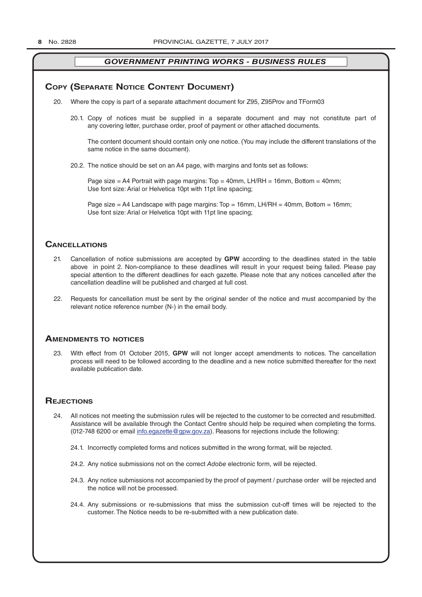# **COPY (SEPARATE NOTICE CONTENT DOCUMENT)**

- 20. Where the copy is part of a separate attachment document for Z95, Z95Prov and TForm03
	- 20.1. Copy of notices must be supplied in a separate document and may not constitute part of any covering letter, purchase order, proof of payment or other attached documents.

The content document should contain only one notice. (You may include the different translations of the same notice in the same document).

20.2. The notice should be set on an A4 page, with margins and fonts set as follows:

Page size  $=$  A4 Portrait with page margins: Top  $=$  40mm, LH/RH  $=$  16mm, Bottom  $=$  40mm; Use font size: Arial or Helvetica 10pt with 11pt line spacing;

Page size = A4 Landscape with page margins: Top = 16mm, LH/RH = 40mm, Bottom = 16mm; Use font size: Arial or Helvetica 10pt with 11pt line spacing;

# **CAnCellATions**

- 21. Cancellation of notice submissions are accepted by **GPW** according to the deadlines stated in the table above in point 2. Non-compliance to these deadlines will result in your request being failed. Please pay special attention to the different deadlines for each gazette. Please note that any notices cancelled after the cancellation deadline will be published and charged at full cost.
- 22. Requests for cancellation must be sent by the original sender of the notice and must accompanied by the relevant notice reference number (N-) in the email body.

# **AmendmenTs To noTiCes**

23. With effect from 01 October 2015, **GPW** will not longer accept amendments to notices. The cancellation process will need to be followed according to the deadline and a new notice submitted thereafter for the next available publication date.

# **REJECTIONS**

- 24. All notices not meeting the submission rules will be rejected to the customer to be corrected and resubmitted. Assistance will be available through the Contact Centre should help be required when completing the forms. (012-748 6200 or email info.egazette@gpw.gov.za). Reasons for rejections include the following:
	- 24.1. Incorrectly completed forms and notices submitted in the wrong format, will be rejected.
	- 24.2. Any notice submissions not on the correct *Adobe* electronic form, will be rejected.
	- 24.3. Any notice submissions not accompanied by the proof of payment / purchase order will be rejected and the notice will not be processed.
	- 24.4. Any submissions or re-submissions that miss the submission cut-off times will be rejected to the customer. The Notice needs to be re-submitted with a new publication date.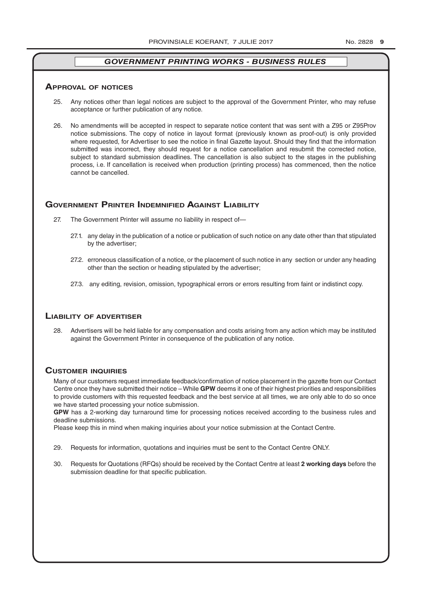#### **ApprovAl of noTiCes**

- 25. Any notices other than legal notices are subject to the approval of the Government Printer, who may refuse acceptance or further publication of any notice.
- 26. No amendments will be accepted in respect to separate notice content that was sent with a Z95 or Z95Prov notice submissions. The copy of notice in layout format (previously known as proof-out) is only provided where requested, for Advertiser to see the notice in final Gazette layout. Should they find that the information submitted was incorrect, they should request for a notice cancellation and resubmit the corrected notice, subject to standard submission deadlines. The cancellation is also subject to the stages in the publishing process, i.e. If cancellation is received when production (printing process) has commenced, then the notice cannot be cancelled.

# **governmenT prinTer indemnified AgAinsT liAbiliTy**

- 27. The Government Printer will assume no liability in respect of—
	- 27.1. any delay in the publication of a notice or publication of such notice on any date other than that stipulated by the advertiser;
	- 27.2. erroneous classification of a notice, or the placement of such notice in any section or under any heading other than the section or heading stipulated by the advertiser;
	- 27.3. any editing, revision, omission, typographical errors or errors resulting from faint or indistinct copy.

# **liAbiliTy of AdverTiser**

28. Advertisers will be held liable for any compensation and costs arising from any action which may be instituted against the Government Printer in consequence of the publication of any notice.

# **CusTomer inQuiries**

Many of our customers request immediate feedback/confirmation of notice placement in the gazette from our Contact Centre once they have submitted their notice – While **GPW** deems it one of their highest priorities and responsibilities to provide customers with this requested feedback and the best service at all times, we are only able to do so once we have started processing your notice submission.

**GPW** has a 2-working day turnaround time for processing notices received according to the business rules and deadline submissions.

Please keep this in mind when making inquiries about your notice submission at the Contact Centre.

- 29. Requests for information, quotations and inquiries must be sent to the Contact Centre ONLY.
- 30. Requests for Quotations (RFQs) should be received by the Contact Centre at least **2 working days** before the submission deadline for that specific publication.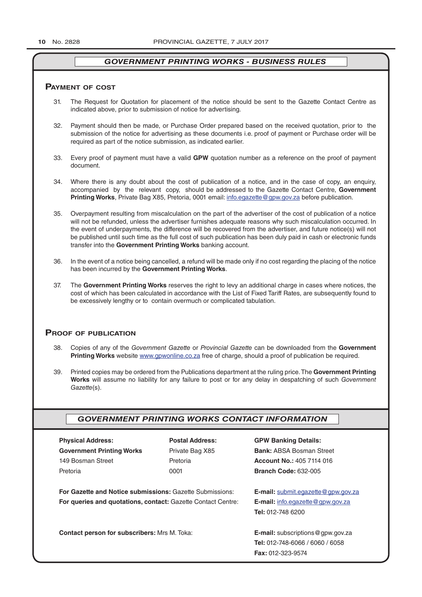### **pAymenT of CosT**

- 31. The Request for Quotation for placement of the notice should be sent to the Gazette Contact Centre as indicated above, prior to submission of notice for advertising.
- 32. Payment should then be made, or Purchase Order prepared based on the received quotation, prior to the submission of the notice for advertising as these documents i.e. proof of payment or Purchase order will be required as part of the notice submission, as indicated earlier.
- 33. Every proof of payment must have a valid **GPW** quotation number as a reference on the proof of payment document.
- 34. Where there is any doubt about the cost of publication of a notice, and in the case of copy, an enquiry, accompanied by the relevant copy, should be addressed to the Gazette Contact Centre, **Government Printing Works**, Private Bag X85, Pretoria, 0001 email: info.egazette@gpw.gov.za before publication.
- 35. Overpayment resulting from miscalculation on the part of the advertiser of the cost of publication of a notice will not be refunded, unless the advertiser furnishes adequate reasons why such miscalculation occurred. In the event of underpayments, the difference will be recovered from the advertiser, and future notice(s) will not be published until such time as the full cost of such publication has been duly paid in cash or electronic funds transfer into the **Government Printing Works** banking account.
- 36. In the event of a notice being cancelled, a refund will be made only if no cost regarding the placing of the notice has been incurred by the **Government Printing Works**.
- 37. The **Government Printing Works** reserves the right to levy an additional charge in cases where notices, the cost of which has been calculated in accordance with the List of Fixed Tariff Rates, are subsequently found to be excessively lengthy or to contain overmuch or complicated tabulation.

# **proof of publiCATion**

- 38. Copies of any of the *Government Gazette* or *Provincial Gazette* can be downloaded from the **Government Printing Works** website www.gpwonline.co.za free of charge, should a proof of publication be required.
- 39. Printed copies may be ordered from the Publications department at the ruling price. The **Government Printing Works** will assume no liability for any failure to post or for any delay in despatching of such *Government Gazette*(s).

# *GOVERNMENT PRINTING WORKS CONTACT INFORMATION*

| <b>Physical Address:</b>                                 | <b>Postal Address:</b>                                              | <b>GPW Banking Details:</b>                 |
|----------------------------------------------------------|---------------------------------------------------------------------|---------------------------------------------|
| <b>Government Printing Works</b>                         | Private Bag X85                                                     | <b>Bank: ABSA Bosman Street</b>             |
| 149 Bosman Street                                        | Pretoria                                                            | <b>Account No.: 405 7114 016</b>            |
| Pretoria                                                 | 0001                                                                | <b>Branch Code: 632-005</b>                 |
| For Gazette and Notice submissions: Gazette Submissions: |                                                                     | <b>E-mail:</b> submit.eqazette@gpw.gov.za   |
|                                                          | <b>For queries and quotations, contact: Gazette Contact Centre:</b> |                                             |
|                                                          |                                                                     | <b>Tel: 012-748 6200</b>                    |
| <b>Contact person for subscribers: Mrs M. Toka:</b>      |                                                                     | <b>E-mail:</b> subscriptions $@$ gpw.gov.za |
|                                                          |                                                                     | <b>Tel: 012-748-6066 / 6060 / 6058</b>      |
|                                                          |                                                                     | Fax: 012-323-9574                           |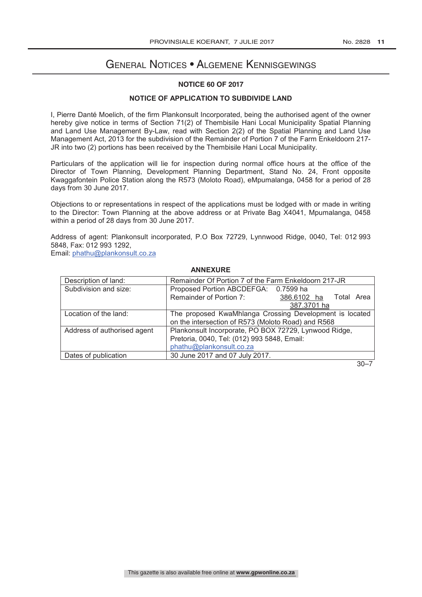# General Notices • Algemene Kennisgewings

# **NOTICE 60 OF 2017**

# **NOTICE OF APPLICATION TO SUBDIVIDE LAND**

I, Pierre Danté Moelich, of the firm Plankonsult Incorporated, being the authorised agent of the owner hereby give notice in terms of Section 71(2) of Thembisile Hani Local Municipality Spatial Planning and Land Use Management By-Law, read with Section 2(2) of the Spatial Planning and Land Use Management Act, 2013 for the subdivision of the Remainder of Portion 7 of the Farm Enkeldoorn 217- JR into two (2) portions has been received by the Thembisile Hani Local Municipality.

Particulars of the application will lie for inspection during normal office hours at the office of the Director of Town Planning, Development Planning Department, Stand No. 24, Front opposite Kwaggafontein Police Station along the R573 (Moloto Road), eMpumalanga, 0458 for a period of 28 days from 30 June 2017.

Objections to or representations in respect of the applications must be lodged with or made in writing to the Director: Town Planning at the above address or at Private Bag X4041, Mpumalanga, 0458 within a period of 28 days from 30 June 2017.

Address of agent: Plankonsult incorporated, P.O Box 72729, Lynnwood Ridge, 0040, Tel: 012 993 5848, Fax: 012 993 1292,

Email: phathu@plankonsult.co.za

| Description of land:                                   | Remainder Of Portion 7 of the Farm Enkeldoorn 217-JR    |  |  |
|--------------------------------------------------------|---------------------------------------------------------|--|--|
| Subdivision and size:                                  | Proposed Portion ABCDEFGA: 0.7599 ha                    |  |  |
|                                                        | Remainder of Portion 7:<br>386.6102 ha Total Area       |  |  |
|                                                        | 387.3701 ha                                             |  |  |
| Location of the land:                                  | The proposed KwaMhlanga Crossing Development is located |  |  |
|                                                        | on the intersection of R573 (Moloto Road) and R568      |  |  |
| Address of authorised agent                            | Plankonsult Incorporate, PO BOX 72729, Lynwood Ridge,   |  |  |
|                                                        | Pretoria, 0040, Tel: (012) 993 5848, Email:             |  |  |
|                                                        | phathu@plankonsult.co.za                                |  |  |
| 30 June 2017 and 07 July 2017.<br>Dates of publication |                                                         |  |  |

# **ANNEXURE**

 $30 - 7$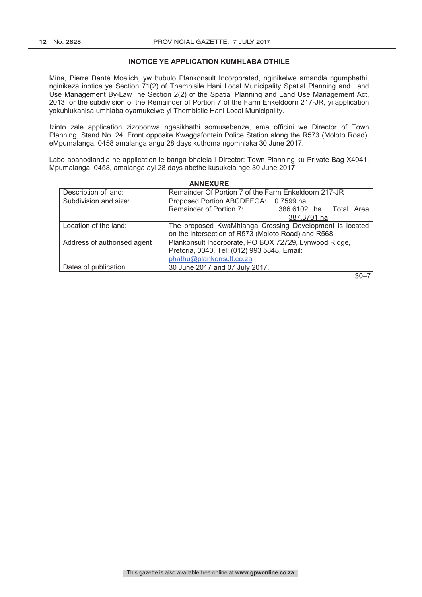# **INOTICE YE APPLICATION KUMHLABA OTHILE**

Mina, Pierre Danté Moelich, yw bubulo Plankonsult Incorporated, nginikelwe amandla ngumphathi, nginikeza inotice ye Section 71(2) of Thembisile Hani Local Municipality Spatial Planning and Land Use Management By-Law ne Section 2(2) of the Spatial Planning and Land Use Management Act, 2013 for the subdivision of the Remainder of Portion 7 of the Farm Enkeldoorn 217-JR, yi application yokuhlukanisa umhlaba oyamukelwe yi Thembisile Hani Local Municipality.

Izinto zale application zizobonwa ngesikhathi somusebenze, ema officini we Director of Town Planning, Stand No. 24, Front opposite Kwaggafontein Police Station along the R573 (Moloto Road), eMpumalanga, 0458 amalanga angu 28 days kuthoma ngomhlaka 30 June 2017.

Labo abanodlandla ne application le banga bhalela i Director: Town Planning ku Private Bag X4041, Mpumalanga, 0458, amalanga ayi 28 days abethe kusukela nge 30 June 2017.

| <b>ANNEAURE</b>                                                              |                                                         |  |  |
|------------------------------------------------------------------------------|---------------------------------------------------------|--|--|
| Remainder Of Portion 7 of the Farm Enkeldoorn 217-JR<br>Description of land: |                                                         |  |  |
| Subdivision and size:                                                        | Proposed Portion ABCDEFGA: 0.7599 ha                    |  |  |
|                                                                              | Remainder of Portion 7:<br>386.6102 ha Total Area       |  |  |
|                                                                              | 387.3701 ha                                             |  |  |
| Location of the land:                                                        | The proposed KwaMhlanga Crossing Development is located |  |  |
|                                                                              | on the intersection of R573 (Moloto Road) and R568      |  |  |
| Address of authorised agent                                                  | Plankonsult Incorporate, PO BOX 72729, Lynwood Ridge,   |  |  |
|                                                                              | Pretoria, 0040, Tel: (012) 993 5848, Email:             |  |  |
|                                                                              | phathu@plankonsult.co.za                                |  |  |
| Dates of publication                                                         | 30 June 2017 and 07 July 2017.                          |  |  |

# **ANNEXURE**

30–7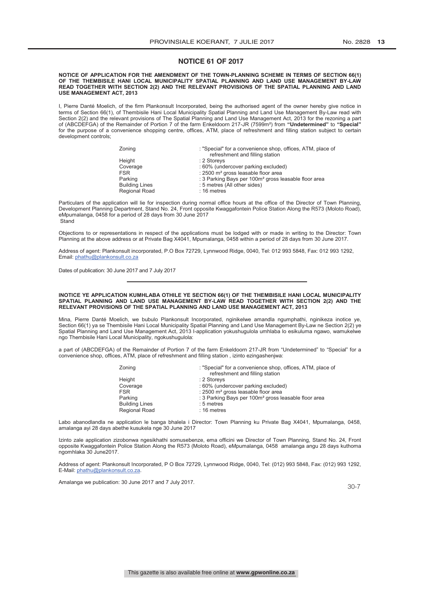#### **NOTICE 61 OF 2017**

**NOTICE OF APPLICATION FOR THE AMENDMENT OF THE TOWN-PLANNING SCHEME IN TERMS OF SECTION 66(1) OF THE THEMBISILE HANI LOCAL MUNICIPALITY SPATIAL PLANNING AND LAND USE MANAGEMENT BY-LAW READ TOGETHER WITH SECTION 2(2) AND THE RELEVANT PROVISIONS OF THE SPATIAL PLANNING AND LAND USE MANAGEMENT ACT, 2013** 

I, Pierre Danté Moelich, of the firm Plankonsult Incorporated, being the authorised agent of the owner hereby give notice in terms of Section 66(1), of Thembisile Hani Local Municipality Spatial Planning and Land Use Management By-Law read with Section 2(2) and the relevant provisions of The Spatial Planning and Land Use Management Act, 2013 for the rezoning a part of (ABCDEFGA) of the Remainder of Portion 7 of the farm Enkeldoorn 217-JR (7599m²) from **"Undetermined"** to **"Special"** for the purpose of a convenience shopping centre, offices, ATM, place of refreshment and filling station subject to certain development controls;

| Zoning                | : "Special" for a convenience shop, offices, ATM, place of<br>refreshment and filling station |
|-----------------------|-----------------------------------------------------------------------------------------------|
| Height                | : 2 Storeys                                                                                   |
| Coverage              | : 60% (undercover parking excluded)                                                           |
| <b>FSR</b>            | : 2500 m <sup>2</sup> gross leasable floor area                                               |
| Parking               | : 3 Parking Bays per 100m <sup>2</sup> gross leasable floor area                              |
| <b>Building Lines</b> | : 5 metres (All other sides)                                                                  |
| Regional Road         | $: 16$ metres                                                                                 |
|                       |                                                                                               |

Particulars of the application will lie for inspection during normal office hours at the office of the Director of Town Planning, Development Planning Department, Stand No. 24, Front opposite Kwaggafontein Police Station Along the R573 (Moloto Road), eMpumalanga, 0458 for a period of 28 days from 30 June 2017 Stand

Objections to or representations in respect of the applications must be lodged with or made in writing to the Director: Town Planning at the above address or at Private Bag X4041, Mpumalanga, 0458 within a period of 28 days from 30 June 2017.

Address of agent: Plankonsult incorporated, P.O Box 72729, Lynnwood Ridge, 0040, Tel: 012 993 5848, Fax: 012 993 1292, Email: phathu@plankonsult.co.za

Dates of publication: 30 June 2017 and 7 July 2017

#### **INOTICE YE APPLICATION KUMHLABA OTHILE YE SECTION 66(1) OF THE THEMBISILE HANI LOCAL MUNICIPALITY SPATIAL PLANNING AND LAND USE MANAGEMENT BY-LAW READ TOGETHER WITH SECTION 2(2) AND THE RELEVANT PROVISIONS OF THE SPATIAL PLANNING AND LAND USE MANAGEMENT ACT, 2013**

Mina, Pierre Danté Moelich, we bubulo Plankonsult Incorporated, nginikelwe amandla ngumphathi, nginikeza inotice ye, Section 66(1) ya se Thembisile Hani Local Municipality Spatial Planning and Land Use Management By-Law ne Section 2(2) ye Spatial Planning and Land Use Management Act, 2013 I-application yokushugulola umhlaba lo esikuluma ngawo, wamukelwe ngo Thembisile Hani Local Municipality, ngokushugulola:

a part of (ABCDEFGA) of the Remainder of Portion 7 of the farm Enkeldoorn 217-JR from "Undetermined" to "Special" for a convenience shop, offices, ATM, place of refreshment and filling station , izinto ezingashenjwa:

| Zoning                | : "Special" for a convenience shop, offices, ATM, place of<br>refreshment and filling station |
|-----------------------|-----------------------------------------------------------------------------------------------|
| Height                | : 2 Storeys                                                                                   |
| Coverage              | : 60% (undercover parking excluded)                                                           |
| <b>FSR</b>            | : 2500 m <sup>2</sup> gross leasable floor area                                               |
| Parking               | : 3 Parking Bays per 100m <sup>2</sup> gross leasable floor area                              |
| <b>Building Lines</b> | $: 5$ metres                                                                                  |
| Regional Road         | $: 16$ metres                                                                                 |
|                       |                                                                                               |

Labo abanodlandla ne application le banga bhalela i Director: Town Planning ku Private Bag X4041, Mpumalanga, 0458, amalanga ayi 28 days abethe kusukela nge 30 June 2017

Izinto zale application zizobonwa ngesikhathi somusebenze, ema officini we Director of Town Planning, Stand No. 24, Front opposite Kwaggafontein Police Station Along the R573 (Moloto Road), eMpumalanga, 0458 amalanga angu 28 days kuthoma ngomhlaka 30 June2017.

Address of agent: Plankonsult Incorporated, P O Box 72729, Lynnwood Ridge, 0040, Tel: (012) 993 5848, Fax: (012) 993 1292, E-Mail: phathu@plankonsult.co.za.

Amalanga we publication: 30 June 2017 and 7 July 2017.  $30-7$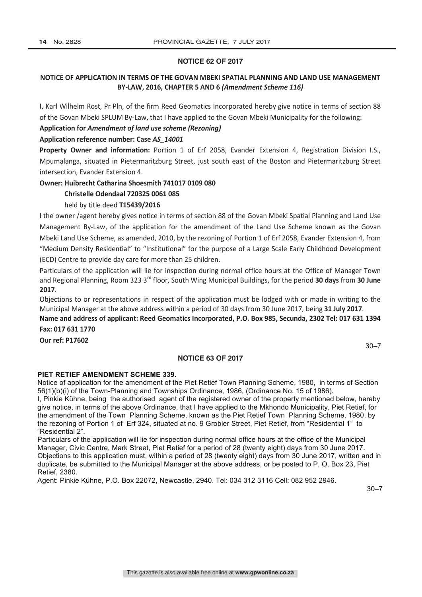# **NOTICE 62 OF 2017**

# **NOTICE OF APPLICATION IN TERMS OF THE GOVAN MBEKI SPATIAL PLANNING AND LAND USE MANAGEMENT BY-LAW, 2016, CHAPTER 5 AND 6** *(Amendment Scheme 116)*

I, Karl Wilhelm Rost, Pr Pln, of the firm Reed Geomatics Incorporated hereby give notice in terms of section 88 of the Govan Mbeki SPLUM By-Law, that I have applied to the Govan Mbeki Municipality for the following:

# **Application for** *Amendment of land use scheme (Rezoning)*

# **Application reference number: Case** *AS\_14001*

**Property Owner and information:** Portion 1 of Erf 2058, Evander Extension 4, Registration Division I.S., Mpumalanga, situated in Pietermaritzburg Street, just south east of the Boston and Pietermaritzburg Street intersection, Evander Extension 4.

# **Owner: Huibrecht Catharina Shoesmith 741017 0109 080**

# **Christelle Odendaal 720325 0061 085**

# held by title deed **T15439/2016**

I the owner /agent hereby gives notice in terms of section 88 of the Govan Mbeki Spatial Planning and Land Use Management By-Law, of the application for the amendment of the Land Use Scheme known as the Govan Mbeki Land Use Scheme, as amended, 2010, by the rezoning of Portion 1 of Erf 2058, Evander Extension 4, from "Medium Density Residential" to "Institutional" for the purpose of a Large Scale Early Childhood Development (ECD) Centre to provide day care for more than 25 children.

Particulars of the application will lie for inspection during normal office hours at the Office of Manager Town and Regional Planning, Room 323 3<sup>rd</sup> floor, South Wing Municipal Buildings, for the period 30 days from 30 June **2017***.*

Objections to or representations in respect of the application must be lodged with or made in writing to the Municipal Manager at the above address within a period of 30 days from 30 June 2017*,* being **31 July 2017***.*

**Name and address of applicant: Reed Geomatics Incorporated, P.O. Box 985, Secunda, 2302 Tel: 017 631 1394 Fax: 017 631 1770**

**Our ref: P17602**

# **NOTICE 63 OF 2017**

# **PIET RETIEF AMENDMENT SCHEME 339.**

Notice of application for the amendment of the Piet Retief Town Planning Scheme, 1980, in terms of Section 56(1)(b)(i) of the Town-Planning and Townships Ordinance, 1986, (Ordinance No. 15 of 1986).

I, Pinkie Kühne, being the authorised agent of the registered owner of the property mentioned below, hereby give notice, in terms of the above Ordinance, that I have applied to the Mkhondo Municipality, Piet Retief, for the amendment of the Town Planning Scheme, known as the Piet Retief Town Planning Scheme, 1980, by the rezoning of Portion 1 of Erf 324, situated at no. 9 Grobler Street, Piet Retief, from "Residential 1" to "Residential 2".

Particulars of the application will lie for inspection during normal office hours at the office of the Municipal Manager, Civic Centre, Mark Street, Piet Retief for a period of 28 (twenty eight) days from 30 June 2017. Objections to this application must, within a period of 28 (twenty eight) days from 30 June 2017, written and in duplicate, be submitted to the Municipal Manager at the above address, or be posted to P. O. Box 23, Piet Retief, 2380.

Agent: Pinkie Kühne, P.O. Box 22072, Newcastle, 2940. Tel: 034 312 3116 Cell: 082 952 2946.

30–7

30–7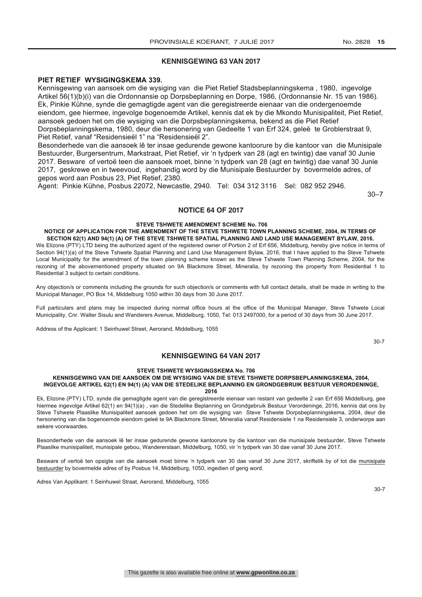#### **KENNISGEWING 63 VAN 2017**

#### **PIET RETIEF WYSIGINGSKEMA 339.**

Kennisgewing van aansoek om die wysiging van die Piet Retief Stadsbeplanningskema , 1980, ingevolge Artikel 56(1)(b)(i) van die Ordonnansie op Dorpsbeplanning en Dorpe, 1986, (Ordonnansie Nr. 15 van 1986). Ek, Pinkie Kühne, synde die gemagtigde agent van die geregistreerde eienaar van die ondergenoemde eiendom, gee hiermee, ingevolge bogenoemde Artikel, kennis dat ek by die Mkondo Munisipaliteit, Piet Retief, aansoek gedoen het om die wysiging van die Dorpsbeplanningskema, bekend as die Piet Retief Dorpsbeplanningskema, 1980, deur die hersonering van Gedeelte 1 van Erf 324, geleë te Groblerstraat 9, Piet Retief, vanaf "Residensieёl 1" na "Residensieël 2".

Besonderhede van die aansoek lê ter insae gedurende gewone kantoorure by die kantoor van die Munisipale Bestuurder, Burgersentrum, Markstraat, Piet Retief, vir 'n tydperk van 28 (agt en twintig) dae vanaf 30 Junie 2017. Besware of vertoё teen die aansoek moet, binne 'n tydperk van 28 (agt en twintig) dae vanaf 30 Junie 2017, geskrewe en in tweevoud, ingehandig word by die Munisipale Bestuurder by bovermelde adres, of gepos word aan Posbus 23, Piet Retief, 2380.

Agent: Pinkie Kühne, Posbus 22072, Newcastle, 2940. Tel: 034 312 3116 Sel: 082 952 2946.

30–7

#### **NOTICE 64 OF 2017**

#### **STEVE TSHWETE AMENDMENT SCHEME No. 706**

#### **NOTICE OF APPLICATION FOR THE AMENDMENT OF THE STEVE TSHWETE TOWN PLANNING SCHEME, 2004, IN TERMS OF SECTION 62(1) AND 94(1) (A) OF THE STEVE TSHWETE SPATIAL PLANNING AND LAND USE MANAGEMENT BYLAW, 2016.**

We Elizone (PTY) LTD being the authorized agent of the registered owner of Portion 2 of Erf 656, Middelburg, hereby give notice in terms of Section 94(1)(a) of the Steve Tshwete Spatial Planning and Land Use Management Bylaw, 2016, that I have applied to the Steve Tshwete Local Municipality for the amendment of the town planning scheme known as the Steve Tshwete Town Planning Scheme, 2004, for the rezoning of the abovementioned property situated on 9A Blackmore Street, Mineralia, by rezoning the property from Residential 1 to Residential 3 subject to certain conditions.

Any objection/s or comments including the grounds for such objection/s or comments with full contact details, shall be made in writing to the Municipal Manager, PO Box 14, Middelburg 1050 within 30 days from 30 June 2017.

Full particulars and plans may be inspected during normal office hours at the office of the Municipal Manager, Steve Tshwete Local Municipality, Cnr. Walter Sisulu and Wanderers Avenue, Middelburg, 1050, Tel: 013 2497000, for a period of 30 days from 30 June 2017.

Address of the Applicant: 1 Seinhuwel Street, Aerorand, Middelburg, 1055

30-7

# **KENNISGEWING 64 VAN 2017**

#### **STEVE TSHWETE WYSIGINGSKEMA No. 706**

#### **KENNISGEWING VAN DIE AANSOEK OM DIE WYSIGING VAN DIE STEVE TSHWETE DORPSBEPLANNINGSKEMA, 2004, INGEVOLGE ARTIKEL 62(1) EN 94(1) (A) VAN DIE STEDELIKE BEPLANNING EN GRONDGEBRUIK BESTUUR VERORDENINGE, 2016**

Ek, Elizone (PTY) LTD, synde die gemagtigde agent van die geregistreerde eienaar van restant van gedeelte 2 van Erf 656 Middelburg, gee hiermee ingevolge Artikel 62(1) en 94(1)(a) , van die Stedelike Beplanning en Grondgebruik Bestuur Verordeninge, 2016, kennis dat ons by Steve Tshwete Plaaslike Munisipaliteit aansoek gedoen het om die wysiging van Steve Tshwete Dorpsbeplanningskema, 2004, deur die hersonering van die bogenoemde eiendom geleë te 9A Blackmore Street, Mineralia vanaf Residensiele 1 na Residensiele 3, onderworpe aan sekere voorwaardes.

Besonderhede van die aansoek lê ter insae gedurende gewone kantoorure by die kantoor van die munisipale bestuurder, Steve Tshwete Plaaslike munisipaliteit, munisipale gebou, Wandererslaan, Middelburg, 1050, vir 'n tydperk van 30 dae vanaf 30 June 2017.

Besware of vertoë ten opsigte van die aansoek moet binne 'n tydperk van 30 dae vanaf 30 June 2017, skriftelik by of tot die munisipale bestuurder by bovermelde adres of by Posbus 14, Middelburg, 1050, ingedien of gerig word.

Adres Van Applikant: 1 Seinhuwel Straat, Aerorand, Middelburg, 1055

30-7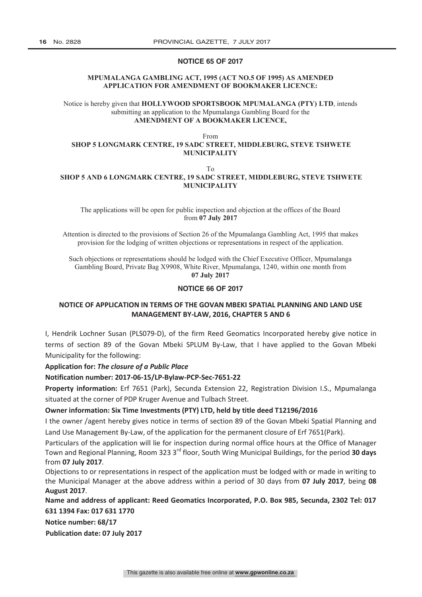### **NOTICE 65 OF 2017 NOTICE**

### **MPUMALANGA GAMBLING ACT, 1995 (ACT NO.5 OF 1995) AS AMENDED APPLICATION FOR AMENDMENT OF BOOKMAKER LICENCE:**

# Notice is hereby given that **HOLLYWOOD SPORTSBOOK MPUMALANGA (PTY) LTD**, intends submitting an application to the Mpumalanga Gambling Board for the **AMENDMENT OF A BOOKMAKER LICENCE,**

### From **SHOP 5 LONGMARK CENTRE, 19 SADC STREET, MIDDLEBURG, STEVE TSHWETE MUNICIPALITY**

#### To

# **SHOP 5 AND 6 LONGMARK CENTRE, 19 SADC STREET, MIDDLEBURG, STEVE TSHWETE MUNICIPALITY**

The applications will be open for public inspection and objection at the offices of the Board from **07 July 2017**

Attention is directed to the provisions of Section 26 of the Mpumalanga Gambling Act, 1995 that makes provision for the lodging of written objections or representations in respect of the application.

Such objections or representations should be lodged with the Chief Executive Officer, Mpumalanga Gambling Board, Private Bag X9908, White River, Mpumalanga, 1240, within one month from **07 July 2017**

# **NOTICE 66 OF 2017**

# **NOTICE OF APPLICATION IN TERMS OF THE GOVAN MBEKI SPATIAL PLANNING AND LAND USE MANAGEMENT BY-LAW, 2016, CHAPTER 5 AND 6**

I, Hendrik Lochner Susan (PLS079-D), of the firm Reed Geomatics Incorporated hereby give notice in terms of section 89 of the Govan Mbeki SPLUM By-Law, that I have applied to the Govan Mbeki Municipality for the following:

**Application for:** *The closure of a Public Place*

# **Notification number: 2017-06-15/LP-Bylaw-PCP-Sec-7651-22**

**Property information:** Erf 7651 (Park), Secunda Extension 22, Registration Division I.S., Mpumalanga situated at the corner of PDP Kruger Avenue and Tulbach Street.

# **Owner information: Six Time Investments (PTY) LTD, held by title deed T12196/2016**

I the owner /agent hereby gives notice in terms of section 89 of the Govan Mbeki Spatial Planning and Land Use Management By-Law, of the application for the permanent closure of Erf 7651(Park).

Particulars of the application will lie for inspection during normal office hours at the Office of Manager Town and Regional Planning, Room 323 3<sup>rd</sup> floor, South Wing Municipal Buildings, for the period 30 days from **07 July 2017***.*

Objections to or representations in respect of the application must be lodged with or made in writing to the Municipal Manager at the above address within a period of 30 days from **07 July 2017***,* being **08 August 2017***.*

**Name and address of applicant: Reed Geomatics Incorporated, P.O. Box 985, Secunda, 2302 Tel: 017 631 1394 Fax: 017 631 1770**

**Notice number: 68/17**

**Publication date: 07 July 2017**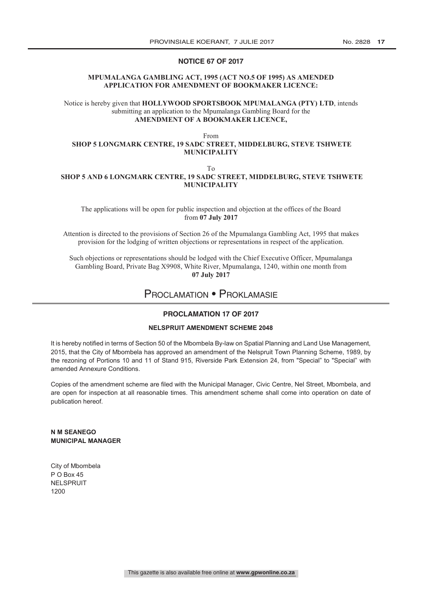#### **NOTICE 67 OF 2017 NOTICE**

# **MPUMALANGA GAMBLING ACT, 1995 (ACT NO.5 OF 1995) AS AMENDED APPLICATION FOR AMENDMENT OF BOOKMAKER LICENCE:**

### Notice is hereby given that **HOLLYWOOD SPORTSBOOK MPUMALANGA (PTY) LTD**, intends submitting an application to the Mpumalanga Gambling Board for the **AMENDMENT OF A BOOKMAKER LICENCE,**

# From **SHOP 5 LONGMARK CENTRE, 19 SADC STREET, MIDDELBURG, STEVE TSHWETE MUNICIPALITY**

#### To

# **SHOP 5 AND 6 LONGMARK CENTRE, 19 SADC STREET, MIDDELBURG, STEVE TSHWETE MUNICIPALITY**

The applications will be open for public inspection and objection at the offices of the Board from **07 July 2017**

Attention is directed to the provisions of Section 26 of the Mpumalanga Gambling Act, 1995 that makes provision for the lodging of written objections or representations in respect of the application.

Such objections or representations should be lodged with the Chief Executive Officer, Mpumalanga Gambling Board, Private Bag X9908, White River, Mpumalanga, 1240, within one month from **07 July 2017**

# Proclamation • Proklamasie

# **PROCLAMATION 17 OF 2017**

# **NELSPRUIT AMENDMENT SCHEME 2048**

It is hereby notified in terms of Section 50 of the Mbombela By-law on Spatial Planning and Land Use Management, 2015, that the City of Mbombela has approved an amendment of the Nelspruit Town Planning Scheme, 1989, by the rezoning of Portions 10 and 11 of Stand 915, Riverside Park Extension 24, from "Special" to "Special" with amended Annexure Conditions.

Copies of the amendment scheme are filed with the Municipal Manager, Civic Centre, Nel Street, Mbombela, and are open for inspection at all reasonable times. This amendment scheme shall come into operation on date of publication hereof.

# **N M SEANEGO MUNICIPAL MANAGER**

City of Mbombela P O Box 45 NELSPRUIT 1200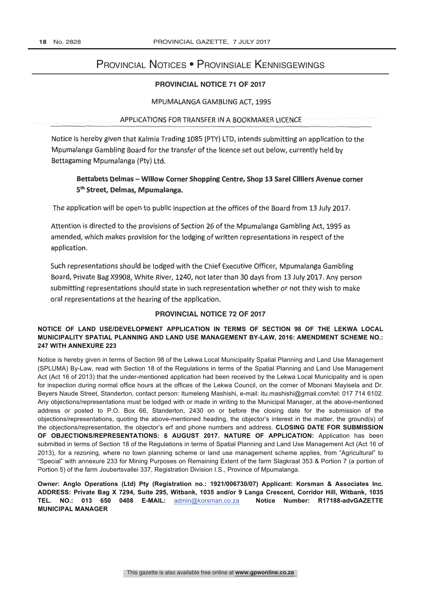# Provincial Notices • Provinsiale Kennisgewings

# **PROVINCIAL NOTICE 71 OF 2017**

# MPUMALANGA GAMBLING ACT, 1995

# APPLICATIONS FOR TRANSFER IN A BOOKMAKER LICENCE

Notice is hereby given that Kalmia Trading 1085 (PTY) LTD, intends submitting an application to the Mpumalanga Gambling Board for the transfer of the licence set out below, currently held by Bettagaming Mpumalanga (Pty) Ltd.

# Bettabets Delmas - Willow Corner Shopping Centre, Shop 13 Sarei Cilliers Avenue corner 5<sup>th</sup> Street, Delmas, Mpumalanga.

The application will be open to public inspection at the offices of the Board from 13 July 2017.

Attention is directed to the provisions of Section 26 of the Mpumalanga Gambling Act, 1995 as amended, which makes provision for the lodging of written representations in respect of the application.

Such representations should be lodged with the Chief Executive Officer, Mpumalanga Gambling Board, Private Bag X9908, White River, 1240, not later than 30 days from 13 July 2017. Any person submitting representations should state in such representation whether or not they wish to make oral representations at the hearing of the application.

# **PROVINCIAL NOTICE 72 OF 2017**

# **NOTICE OF LAND USE/DEVELOPMENT APPLICATION IN TERMS OF SECTION 98 OF THE LEKWA LOCAL MUNICIPALITY SPATIAL PLANNING AND LAND USE MANAGEMENT BY-LAW, 2016: AMENDMENT SCHEME NO.: 247 WITH ANNEXURE 223**

Notice is hereby given in terms of Section 98 of the Lekwa Local Municipality Spatial Planning and Land Use Management (SPLUMA) By-Law, read with Section 18 of the Regulations in terms of the Spatial Planning and Land Use Management Act (Act 16 of 2013) that the under-mentioned application had been received by the Lekwa Local Municipality and is open for inspection during normal office hours at the offices of the Lekwa Council, on the corner of Mbonani Mayisela and Dr. Beyers Naude Street, Standerton, contact person: Itumeleng Mashishi, e-mail: itu.mashishi@gmail.com/tel: 017 714 6102. Any objections/representations must be lodged with or made in writing to the Municipal Manager, at the above-mentioned address or posted to P.O. Box 66, Standerton, 2430 on or before the closing date for the submission of the objections/representations, quoting the above-mentioned heading, the objector's interest in the matter, the ground(s) of the objections/representation, the objector's erf and phone numbers and address. **CLOSING DATE FOR SUBMISSION OF OBJECTIONS/REPRESENTATIONS: 6 AUGUST 2017. NATURE OF APPLICATION:** Application has been submitted in terms of Section 18 of the Regulations in terms of Spatial Planning and Land Use Management Act (Act 16 of 2013), for a rezoning, where no town planning scheme or land use management scheme applies, from "Agricultural" to "Special" with annexure 233 for Mining Purposes on Remaining Extent of the farm Slagkraal 353 & Portion 7 (a portion of Portion 5) of the farm Joubertsvallei 337, Registration Division I.S., Province of Mpumalanga.

**Owner: Anglo Operations (Ltd) Pty (Registration no.: 1921/006730/07) Applicant: Korsman & Associates Inc. ADDRESS: Private Bag X 7294, Suite 295, Witbank, 1035 and/or 9 Langa Crescent, Corridor Hill, Witbank, 1035 TEL. NO.: 013 650 0408 E-MAIL:** admin@korsman.co.za **Notice Number: R17188-advGAZETTE MUNICIPAL MANAGER**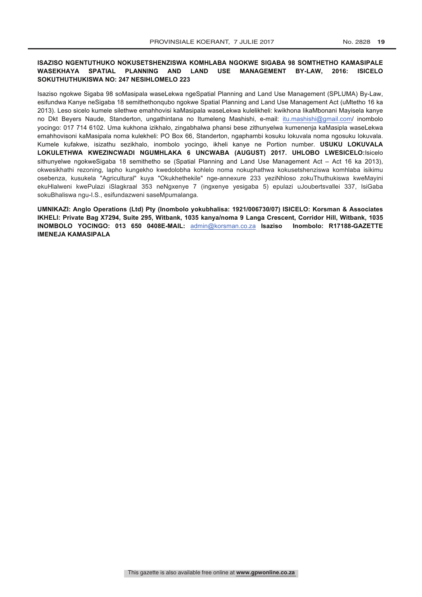# **ISAZISO NGENTUTHUKO NOKUSETSHENZISWA KOMHLABA NGOKWE SIGABA 98 SOMTHETHO KAMASIPALE WASEKHAYA SPATIAL PLANNING AND LAND USE MANAGEMENT BY-LAW, 2016: ISICELO SOKUTHUTHUKISWA NO: 247 NESIHLOMELO 223**

Isaziso ngokwe Sigaba 98 soMasipala waseLekwa ngeSpatial Planning and Land Use Management (SPLUMA) By-Law, esifundwa Kanye neSigaba 18 semithethonqubo ngokwe Spatial Planning and Land Use Management Act (uMtetho 16 ka 2013). Leso sicelo kumele silethwe emahhovisi kaMasipala waseLekwa kulelikheli: kwikhona likaMbonani Mayisela kanye no Dkt Beyers Naude, Standerton, ungathintana no Itumeleng Mashishi, e-mail: itu.mashishi@gmail.com/ inombolo yocingo: 017 714 6102. Uma kukhona izikhalo, zingabhalwa phansi bese zithunyelwa kumenenja kaMasipla waseLekwa emahhovisoni kaMasipala noma kulekheli: PO Box 66, Standerton, ngaphambi kosuku lokuvala noma ngosuku lokuvala. Kumele kufakwe, isizathu sezikhalo, inombolo yocingo, ikheli kanye ne Portion number. **USUKU LOKUVALA LOKULETHWA KWEZINCWADI NGUMHLAKA 6 UNCWABA (AUGUST) 2017. UHLOBO LWESICELO:**Isicelo sithunyelwe ngokweSigaba 18 semithetho se (Spatial Planning and Land Use Management Act – Act 16 ka 2013), okwesikhathi rezoning, lapho kungekho kwedolobha kohlelo noma nokuphathwa kokusetshenziswa komhlaba isikimu osebenza, kusukela "Agricultural" kuya "Okukhethekile" nge-annexure 233 yeziNhloso zokuThuthukiswa kweMayini ekuHlalweni kwePulazi iSlagkraal 353 neNgxenye 7 (ingxenye yesigaba 5) epulazi uJoubertsvallei 337, IsiGaba sokuBhaliswa ngu-I.S., esifundazweni saseMpumalanga.

**UMNIKAZI: Anglo Operations (Ltd) Pty (Inombolo yokubhalisa: 1921/006730/07) ISICELO: Korsman & Associates IKHELI: Private Bag X7294, Suite 295, Witbank, 1035 kanya/noma 9 Langa Crescent, Corridor Hill, Witbank, 1035 INOMBOLO YOCINGO: 013 650 0408E-MAIL:** admin@korsman.co.za **Isaziso Inombolo: R17188-GAZETTE IMENEJA KAMASIPALA**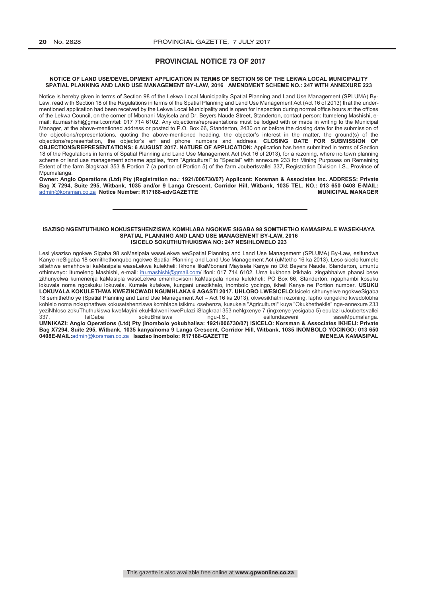#### **PROVINCIAL NOTICE 73 OF 2017**

#### **NOTICE OF LAND USE/DEVELOPMENT APPLICATION IN TERMS OF SECTION 98 OF THE LEKWA LOCAL MUNICIPALITY SPATIAL PLANNING AND LAND USE MANAGEMENT BY-LAW, 2016 AMENDMENT SCHEME NO.: 247 WITH ANNEXURE 223**

Notice is hereby given in terms of Section 98 of the Lekwa Local Municipality Spatial Planning and Land Use Management (SPLUMA) By-Law, read with Section 18 of the Regulations in terms of the Spatial Planning and Land Use Management Act (Act 16 of 2013) that the undermentioned application had been received by the Lekwa Local Municipality and is open for inspection during normal office hours at the offices of the Lekwa Council, on the corner of Mbonani Mayisela and Dr. Beyers Naude Street, Standerton, contact person: Itumeleng Mashishi, email: itu.mashishi@gmail.com/tel: 017 714 6102. Any objections/representations must be lodged with or made in writing to the Municipal Manager, at the above-mentioned address or posted to P.O. Box 66, Standerton, 2430 on or before the closing date for the submission of the objections/representations, quoting the above-mentioned heading, the objector's interest in the matter, the ground(s) of the objections/representation, the objector's erf and phone numbers and address. **CLOSING DATE FOR SUBMISSION OF OBJECTIONS/REPRESENTATIONS: 6 AUGUST 2017. NATURE OF APPLICATION:** Application has been submitted in terms of Section 18 of the Regulations in terms of Spatial Planning and Land Use Management Act (Act 16 of 2013), for a rezoning, where no town planning scheme or land use management scheme applies, from "Agricultural" to "Special" with annexure 233 for Mining Purposes on Remaining Extent of the farm Slagkraal 353 & Portion 7 (a portion of Portion 5) of the farm Joubertsvallei 337, Registration Division I.S., Province of Mpumalanga.

**Owner: Anglo Operations (Ltd) Pty (Registration no.: 1921/006730/07) Applicant: Korsman & Associates Inc. ADDRESS: Private Bag X 7294, Suite 295, Witbank, 1035 and/or 9 Langa Crescent, Corridor Hill, Witbank, 1035 TEL. NO.: 013 650 0408 E-MAIL:**  admin@korsman.co.za Notice Number: R17188-advGAZETTE

#### **ISAZISO NGENTUTHUKO NOKUSETSHENZISWA KOMHLABA NGOKWE SIGABA 98 SOMTHETHO KAMASIPALE WASEKHAYA SPATIAL PLANNING AND LAND USE MANAGEMENT BY-LAW, 2016 ISICELO SOKUTHUTHUKISWA NO: 247 NESIHLOMELO 223**

Lesi yisaziso ngokwe Sigaba 98 soMasipala waseLekwa weSpatial Planning and Land Use Management (SPLUMA) By-Law, esifundwa Kanye neSigaba 18 semithethonqubo ngokwe Spatial Planning and Land Use Management Act (uMtetho 16 ka 2013). Leso sicelo kumele siltethwe emahhovisi kaMasipala waseLekwa kulekheli: Ikhona likaMbonani Mayisela Kanye no Dkt Beyers Naude, Standerton, umuntu othintwayo: Itumeleng Mashishi, e-mail: itu.mashishi@gmail.com/ ifoni: 017 714 6102. Uma kukhona izikhalo, zingabhalwe phansi bese zithunyelwa kumenenja kaMasipla waseLekwa emahhovisoni kaMasipala noma kulekheli: PO Box 66, Standerton, ngaphambi kosuku lokuvala noma ngoskuku lokuvala. Kumele kufakwe, kungani unezikhalo, inombolo yocingo, ikheli Kanye ne Portion number. **USUKU LOKUVALA KOKULETHWA KWEZINCWADI NGUMHLAKA 6 AGASTI 2017. UHLOBO LWESICELO:**Isicelo sithunyelwe ngokweSigaba 18 semithetho ye (Spatial Planning and Land Use Management Act – Act 16 ka 2013), okwesikhathi rezoning, lapho kungekho kwedolobha kohlelo noma nokuphathwa kokusetshenziswa komhlaba isikimu osebenza, kusukela "Agricultural" kuya "Okukhethekile" nge-annexure 233 yeziNhloso zokuThuthukiswa kweMayini ekuHlalweni kwePulazi iSlagkraal 353 neNgxenye 7 (ingxenye yesigaba 5) epulazi uJoubertsvallei 337, IsiGaba sokuBhaliswa ngu-I.S., esifundazweni saseMpumalanga. **UMNIKAZI: Anglo Operations (Ltd) Pty (Inombolo yokubhalisa: 1921/006730/07) ISICELO: Korsman & Associates IKHELI: Private Bag X7294, Suite 295, Witbank, 1035 kanya/noma 9 Langa Crescent, Corridor Hill, Witbank, 1035 INOMBOLO YOCINGO: 013 650**  0408E-MAIL:admin@korsman.co.za **Isaziso Inombolo: R17188-GAZETTE**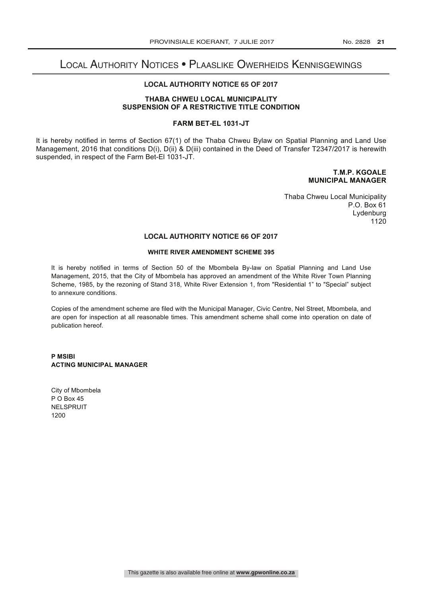# Local Authority Notices • Plaaslike Owerheids Kennisgewings

# **LOCAL AUTHORITY NOTICE 65 OF 2017**

# **THABA CHWEU LOCAL MUNICIPALITY SUSPENSION OF A RESTRICTIVE TITLE CONDITION**

# **FARM BET-EL 1031-JT**

It is hereby notified in terms of Section 67(1) of the Thaba Chweu Bylaw on Spatial Planning and Land Use Management, 2016 that conditions D(i), D(ii) & D(iii) contained in the Deed of Transfer T2347/2017 is herewith suspended, in respect of the Farm Bet-El 1031-JT.

# **T.M.P. KGOALE MUNICIPAL MANAGER**

Thaba Chweu Local Municipality P.O. Box 61 Lydenburg 1120

# **LOCAL AUTHORITY NOTICE 66 OF 2017**

# **WHITE RIVER AMENDMENT SCHEME 395**

It is hereby notified in terms of Section 50 of the Mbombela By-law on Spatial Planning and Land Use Management, 2015, that the City of Mbombela has approved an amendment of the White River Town Planning Scheme, 1985, by the rezoning of Stand 318, White River Extension 1, from "Residential 1" to "Special" subject to annexure conditions.

Copies of the amendment scheme are filed with the Municipal Manager, Civic Centre, Nel Street, Mbombela, and are open for inspection at all reasonable times. This amendment scheme shall come into operation on date of publication hereof.

**P MSIBI ACTING MUNICIPAL MANAGER**

City of Mbombela P O Box 45 NELSPRUIT 1200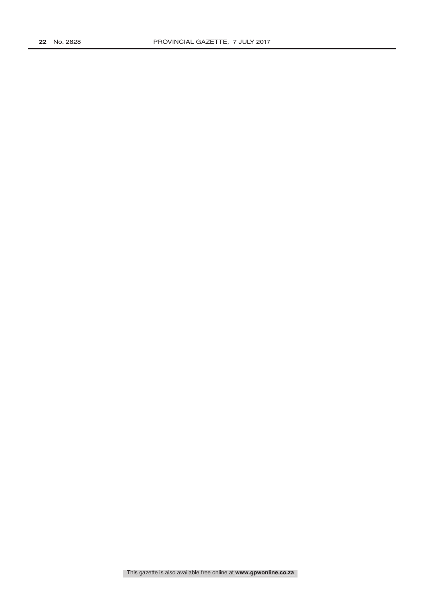This gazette is also available free online at **www.gpwonline.co.za**